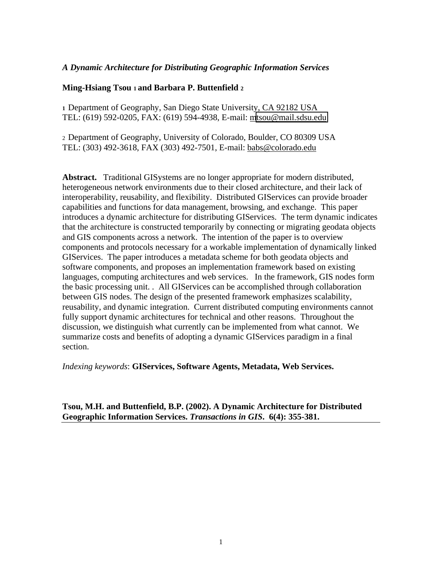## *A Dynamic Architecture for Distributing Geographic Information Services*

#### **Ming-Hsiang Tsou 1 and Barbara P. Buttenfield 2**

**<sup>1</sup>**Department of Geography, San Diego State University, CA 92182 USA TEL: (619) 592-0205, FAX: (619) 594-4938, E-mail: [mtsou@mail.sdsu.edu](mailto:tsou@mail.sdsu.edu)

2 Department of Geography, University of Colorado, Boulder, CO 80309 USA TEL: (303) 492-3618, FAX (303) 492-7501, E-mail: babs@colorado.edu

**Abstract.** Traditional GISystems are no longer appropriate for modern distributed, heterogeneous network environments due to their closed architecture, and their lack of interoperability, reusability, and flexibility. Distributed GIServices can provide broader capabilities and functions for data management, browsing, and exchange. This paper introduces a dynamic architecture for distributing GIServices. The term dynamic indicates that the architecture is constructed temporarily by connecting or migrating geodata objects and GIS components across a network. The intention of the paper is to overview components and protocols necessary for a workable implementation of dynamically linked GIServices. The paper introduces a metadata scheme for both geodata objects and software components, and proposes an implementation framework based on existing languages, computing architectures and web services. In the framework, GIS nodes form the basic processing unit. . All GIServices can be accomplished through collaboration between GIS nodes. The design of the presented framework emphasizes scalability, reusability, and dynamic integration. Current distributed computing environments cannot fully support dynamic architectures for technical and other reasons. Throughout the discussion, we distinguish what currently can be implemented from what cannot. We summarize costs and benefits of adopting a dynamic GIServices paradigm in a final section.

*Indexing keywords*: **GIServices, Software Agents, Metadata, Web Services.** 

**Tsou, M.H. and Buttenfield, B.P. (2002). A Dynamic Architecture for Distributed Geographic Information Services.** *Transactions in GIS***. 6(4): 355-381.**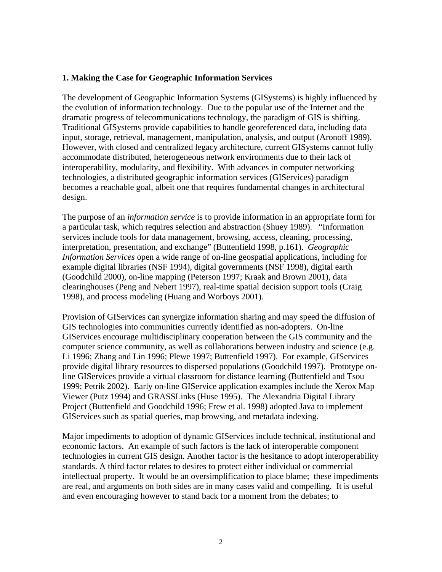### **1. Making the Case for Geographic Information Services**

The development of Geographic Information Systems (GISystems) is highly influenced by the evolution of information technology. Due to the popular use of the Internet and the dramatic progress of telecommunications technology, the paradigm of GIS is shifting. Traditional GISystems provide capabilities to handle georeferenced data, including data input, storage, retrieval, management, manipulation, analysis, and output (Aronoff 1989). However, with closed and centralized legacy architecture, current GISystems cannot fully accommodate distributed, heterogeneous network environments due to their lack of interoperability, modularity, and flexibility. With advances in computer networking technologies, a distributed geographic information services (GIServices) paradigm becomes a reachable goal, albeit one that requires fundamental changes in architectural design.

The purpose of an *information service* is to provide information in an appropriate form for a particular task, which requires selection and abstraction (Shuey 1989). "Information services include tools for data management, browsing, access, cleaning, processing, interpretation, presentation, and exchange" (Buttenfield 1998, p.161). *Geographic Information Services* open a wide range of on-line geospatial applications, including for example digital libraries (NSF 1994), digital governments (NSF 1998), digital earth (Goodchild 2000), on-line mapping (Peterson 1997; Kraak and Brown 2001), data clearinghouses (Peng and Nebert 1997), real-time spatial decision support tools (Craig 1998), and process modeling (Huang and Worboys 2001).

Provision of GIServices can synergize information sharing and may speed the diffusion of GIS technologies into communities currently identified as non-adopters. On-line GIServices encourage multidisciplinary cooperation between the GIS community and the computer science community, as well as collaborations between industry and science (e.g. Li 1996; Zhang and Lin 1996; Plewe 1997; Buttenfield 1997). For example, GIServices provide digital library resources to dispersed populations (Goodchild 1997). Prototype online GIServices provide a virtual classroom for distance learning (Buttenfield and Tsou 1999; Petrik 2002). Early on-line GIService application examples include the Xerox Map Viewer (Putz 1994) and GRASSLinks (Huse 1995). The Alexandria Digital Library Project (Buttenfield and Goodchild 1996; Frew et al. 1998) adopted Java to implement GIServices such as spatial queries, map browsing, and metadata indexing.

Major impediments to adoption of dynamic GIServices include technical, institutional and economic factors. An example of such factors is the lack of interoperable component technologies in current GIS design. Another factor is the hesitance to adopt interoperability standards. A third factor relates to desires to protect either individual or commercial intellectual property. It would be an oversimplification to place blame; these impediments are real, and arguments on both sides are in many cases valid and compelling. It is useful and even encouraging however to stand back for a moment from the debates; to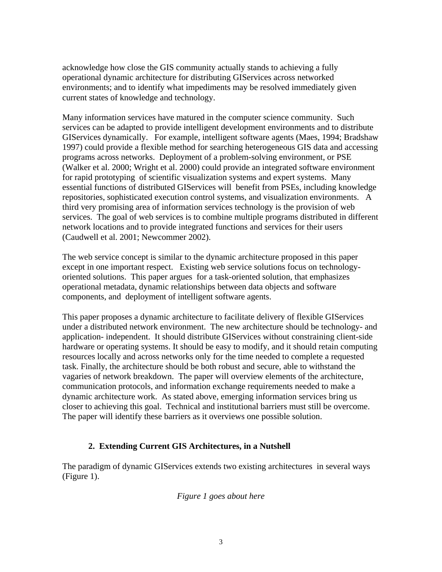acknowledge how close the GIS community actually stands to achieving a fully operational dynamic architecture for distributing GIServices across networked environments; and to identify what impediments may be resolved immediately given current states of knowledge and technology.

Many information services have matured in the computer science community. Such services can be adapted to provide intelligent development environments and to distribute GIServices dynamically. For example, intelligent software agents (Maes, 1994; Bradshaw 1997) could provide a flexible method for searching heterogeneous GIS data and accessing programs across networks. Deployment of a problem-solving environment, or PSE (Walker et al. 2000; Wright et al. 2000) could provide an integrated software environment for rapid prototyping of scientific visualization systems and expert systems. Many essential functions of distributed GIServices will benefit from PSEs, including knowledge repositories, sophisticated execution control systems, and visualization environments. A third very promising area of information services technology is the provision of web services. The goal of web services is to combine multiple programs distributed in different network locations and to provide integrated functions and services for their users (Caudwell et al. 2001; Newcommer 2002).

The web service concept is similar to the dynamic architecture proposed in this paper except in one important respect. Existing web service solutions focus on technologyoriented solutions. This paper argues for a task-oriented solution, that emphasizes operational metadata, dynamic relationships between data objects and software components, and deployment of intelligent software agents.

This paper proposes a dynamic architecture to facilitate delivery of flexible GIServices under a distributed network environment. The new architecture should be technology- and application- independent. It should distribute GIServices without constraining client-side hardware or operating systems. It should be easy to modify, and it should retain computing resources locally and across networks only for the time needed to complete a requested task. Finally, the architecture should be both robust and secure, able to withstand the vagaries of network breakdown. The paper will overview elements of the architecture, communication protocols, and information exchange requirements needed to make a dynamic architecture work. As stated above, emerging information services bring us closer to achieving this goal. Technical and institutional barriers must still be overcome. The paper will identify these barriers as it overviews one possible solution.

### **2. Extending Current GIS Architectures, in a Nutshell**

The paradigm of dynamic GIServices extends two existing architectures in several ways (Figure 1).

# *Figure 1 goes about here*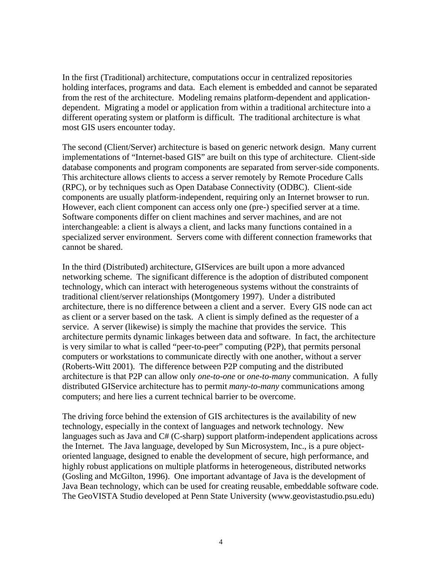In the first (Traditional) architecture, computations occur in centralized repositories holding interfaces, programs and data. Each element is embedded and cannot be separated from the rest of the architecture. Modeling remains platform-dependent and applicationdependent. Migrating a model or application from within a traditional architecture into a different operating system or platform is difficult. The traditional architecture is what most GIS users encounter today.

The second (Client/Server) architecture is based on generic network design. Many current implementations of "Internet-based GIS" are built on this type of architecture. Client-side database components and program components are separated from server-side components. This architecture allows clients to access a server remotely by Remote Procedure Calls (RPC), or by techniques such as Open Database Connectivity (ODBC). Client-side components are usually platform-independent, requiring only an Internet browser to run. However, each client component can access only one (pre-) specified server at a time. Software components differ on client machines and server machines, and are not interchangeable: a client is always a client, and lacks many functions contained in a specialized server environment. Servers come with different connection frameworks that cannot be shared.

In the third (Distributed) architecture, GIServices are built upon a more advanced networking scheme. The significant difference is the adoption of distributed component technology, which can interact with heterogeneous systems without the constraints of traditional client/server relationships (Montgomery 1997). Under a distributed architecture, there is no difference between a client and a server. Every GIS node can act as client or a server based on the task. A client is simply defined as the requester of a service. A server (likewise) is simply the machine that provides the service. This architecture permits dynamic linkages between data and software. In fact, the architecture is very similar to what is called "peer-to-peer" computing (P2P), that permits personal computers or workstations to communicate directly with one another, without a server (Roberts-Witt 2001). The difference between P2P computing and the distributed architecture is that P2P can allow only *one-to-one* or *one-to-many* communication. A fully distributed GIService architecture has to permit *many-to-many* communications among computers; and here lies a current technical barrier to be overcome.

The driving force behind the extension of GIS architectures is the availability of new technology, especially in the context of languages and network technology. New languages such as Java and C# (C-sharp) support platform-independent applications across the Internet. The Java language, developed by Sun Microsystem, Inc., is a pure objectoriented language, designed to enable the development of secure, high performance, and highly robust applications on multiple platforms in heterogeneous, distributed networks (Gosling and McGilton, 1996). One important advantage of Java is the development of Java Bean technology, which can be used for creating reusable, embeddable software code. The GeoVISTA Studio developed at Penn State University (www.geovistastudio.psu.edu)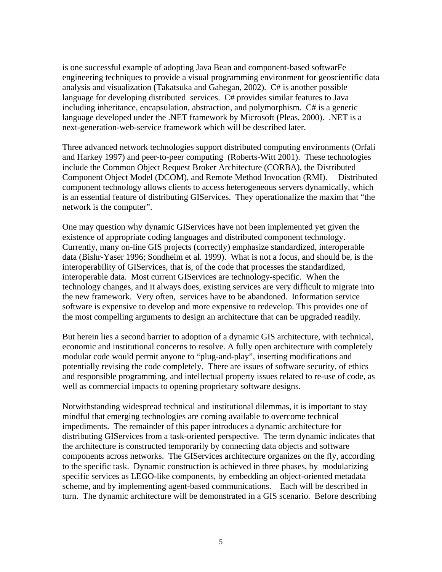is one successful example of adopting Java Bean and component-based softwarFe engineering techniques to provide a visual programming environment for geoscientific data analysis and visualization (Takatsuka and Gahegan, 2002). C# is another possible language for developing distributed services. C# provides similar features to Java including inheritance, encapsulation, abstraction, and polymorphism. C# is a generic language developed under the .NET framework by Microsoft (Pleas, 2000). .NET is a next-generation-web-service framework which will be described later.

Three advanced network technologies support distributed computing environments (Orfali and Harkey 1997) and peer-to-peer computing (Roberts-Witt 2001). These technologies include the Common Object Request Broker Architecture (CORBA), the Distributed Component Object Model (DCOM), and Remote Method Invocation (RMI). Distributed component technology allows clients to access heterogeneous servers dynamically, which is an essential feature of distributing GIServices. They operationalize the maxim that "the network is the computer".

One may question why dynamic GIServices have not been implemented yet given the existence of appropriate coding languages and distributed component technology. Currently, many on-line GIS projects (correctly) emphasize standardized, interoperable data (Bishr-Yaser 1996; Sondheim et al. 1999). What is not a focus, and should be, is the interoperability of GIServices, that is, of the code that processes the standardized, interoperable data. Most current GIServices are technology-specific. When the technology changes, and it always does, existing services are very difficult to migrate into the new framework. Very often, services have to be abandoned. Information service software is expensive to develop and more expensive to redevelop. This provides one of the most compelling arguments to design an architecture that can be upgraded readily.

But herein lies a second barrier to adoption of a dynamic GIS architecture, with technical, economic and institutional concerns to resolve. A fully open architecture with completely modular code would permit anyone to "plug-and-play", inserting modifications and potentially revising the code completely. There are issues of software security, of ethics and responsible programming, and intellectual property issues related to re-use of code, as well as commercial impacts to opening proprietary software designs.

Notwithstanding widespread technical and institutional dilemmas, it is important to stay mindful that emerging technologies are coming available to overcome technical impediments. The remainder of this paper introduces a dynamic architecture for distributing GIServices from a task-oriented perspective. The term dynamic indicates that the architecture is constructed temporarily by connecting data objects and software components across networks. The GIServices architecture organizes on the fly, according to the specific task. Dynamic construction is achieved in three phases, by modularizing specific services as LEGO-like components, by embedding an object-oriented metadata scheme, and by implementing agent-based communications. Each will be described in turn. The dynamic architecture will be demonstrated in a GIS scenario. Before describing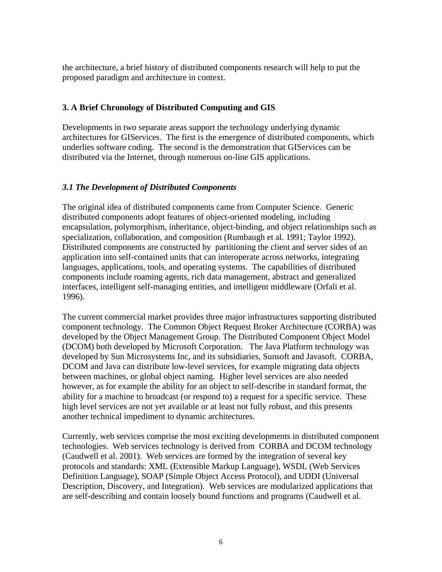the architecture, a brief history of distributed components research will help to put the proposed paradigm and architecture in context.

# **3. A Brief Chronology of Distributed Computing and GIS**

Developments in two separate areas support the technology underlying dynamic architectures for GIServices. The first is the emergence of distributed components, which underlies software coding. The second is the demonstration that GIServices can be distributed via the Internet, through numerous on-line GIS applications.

## *3.1 The Development of Distributed Components*

The original idea of distributed components came from Computer Science. Generic distributed components adopt features of object-oriented modeling, including encapsulation, polymorphism, inheritance, object-binding, and object relationships such as specialization, collaboration, and composition (Rumbaugh et al. 1991; Taylor 1992). Distributed components are constructed by partitioning the client and server sides of an application into self-contained units that can interoperate across networks, integrating languages, applications, tools, and operating systems. The capabilities of distributed components include roaming agents, rich data management, abstract and generalized interfaces, intelligent self-managing entities, and intelligent middleware (Orfali et al. 1996).

The current commercial market provides three major infrastructures supporting distributed component technology. The Common Object Request Broker Architecture (CORBA) was developed by the Object Management Group. The Distributed Component Object Model (DCOM) both developed by Microsoft Corporation. The Java Platform technology was developed by Sun Microsystems Inc, and its subsidiaries, Sunsoft and Javasoft. CORBA, DCOM and Java can distribute low-level services, for example migrating data objects between machines, or global object naming. Higher level services are also needed however, as for example the ability for an object to self-describe in standard format, the ability for a machine to broadcast (or respond to) a request for a specific service. These high level services are not yet available or at least not fully robust, and this presents another technical impediment to dynamic architectures.

Currently, web services comprise the most exciting developments in distributed component technologies. Web services technology is derived from CORBA and DCOM technology (Caudwell et al. 2001). Web services are formed by the integration of several key protocols and standards: XML (Extensible Markup Language), WSDL (Web Services Definition Language), SOAP (Simple Object Access Protocol), and UDDI (Universal Description, Discovery, and Integration). Web services are modularized applications that are self-describing and contain loosely bound functions and programs (Caudwell et al.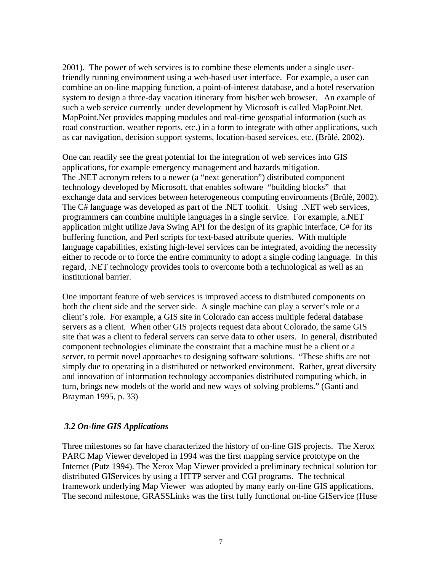2001). The power of web services is to combine these elements under a single userfriendly running environment using a web-based user interface. For example, a user can combine an on-line mapping function, a point-of-interest database, and a hotel reservation system to design a three-day vacation itinerary from his/her web browser. An example of such a web service currently under development by Microsoft is called MapPoint.Net. MapPoint.Net provides mapping modules and real-time geospatial information (such as road construction, weather reports, etc.) in a form to integrate with other applications, such as car navigation, decision support systems, location-based services, etc. (Brûlé, 2002).

One can readily see the great potential for the integration of web services into GIS applications, for example emergency management and hazards mitigation. The .NET acronym refers to a newer (a "next generation") distributed component technology developed by Microsoft, that enables software "building blocks" that exchange data and services between heterogeneous computing environments (Brûlé, 2002). The C# language was developed as part of the .NET toolkit. Using .NET web services, programmers can combine multiple languages in a single service. For example, a.NET application might utilize Java Swing API for the design of its graphic interface, C# for its buffering function, and Perl scripts for text-based attribute queries. With multiple language capabilities, existing high-level services can be integrated, avoiding the necessity either to recode or to force the entire community to adopt a single coding language. In this regard, .NET technology provides tools to overcome both a technological as well as an institutional barrier.

One important feature of web services is improved access to distributed components on both the client side and the server side. A single machine can play a server's role or a client's role. For example, a GIS site in Colorado can access multiple federal database servers as a client. When other GIS projects request data about Colorado, the same GIS site that was a client to federal servers can serve data to other users. In general, distributed component technologies eliminate the constraint that a machine must be a client or a server, to permit novel approaches to designing software solutions. "These shifts are not simply due to operating in a distributed or networked environment. Rather, great diversity and innovation of information technology accompanies distributed computing which, in turn, brings new models of the world and new ways of solving problems." (Ganti and Brayman 1995, p. 33)

### *3.2 On-line GIS Applications*

Three milestones so far have characterized the history of on-line GIS projects. The Xerox PARC Map Viewer developed in 1994 was the first mapping service prototype on the Internet (Putz 1994). The Xerox Map Viewer provided a preliminary technical solution for distributed GIServices by using a HTTP server and CGI programs. The technical framework underlying Map Viewer was adopted by many early on-line GIS applications. The second milestone, GRASSLinks was the first fully functional on-line GIService (Huse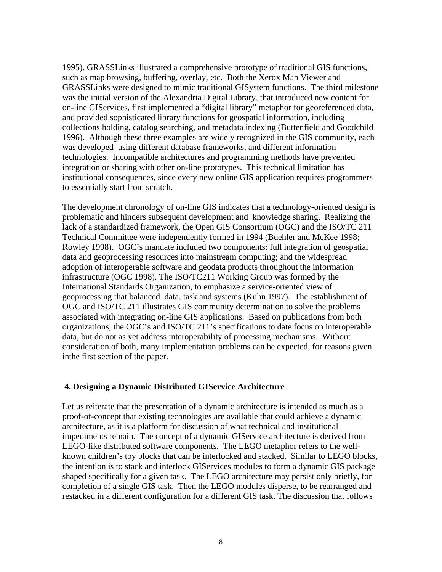1995). GRASSLinks illustrated a comprehensive prototype of traditional GIS functions, such as map browsing, buffering, overlay, etc. Both the Xerox Map Viewer and GRASSLinks were designed to mimic traditional GISystem functions. The third milestone was the initial version of the Alexandria Digital Library, that introduced new content for on-line GIServices, first implemented a "digital library" metaphor for georeferenced data, and provided sophisticated library functions for geospatial information, including collections holding, catalog searching, and metadata indexing (Buttenfield and Goodchild 1996). Although these three examples are widely recognized in the GIS community, each was developed using different database frameworks, and different information technologies. Incompatible architectures and programming methods have prevented integration or sharing with other on-line prototypes. This technical limitation has institutional consequences, since every new online GIS application requires programmers to essentially start from scratch.

The development chronology of on-line GIS indicates that a technology-oriented design is problematic and hinders subsequent development and knowledge sharing. Realizing the lack of a standardized framework, the Open GIS Consortium (OGC) and the ISO/TC 211 Technical Committee were independently formed in 1994 (Buehler and McKee 1998; Rowley 1998). OGC's mandate included two components: full integration of geospatial data and geoprocessing resources into mainstream computing; and the widespread adoption of interoperable software and geodata products throughout the information infrastructure (OGC 1998). The ISO/TC211 Working Group was formed by the International Standards Organization, to emphasize a service-oriented view of geoprocessing that balanced data, task and systems (Kuhn 1997). The establishment of OGC and ISO/TC 211 illustrates GIS community determination to solve the problems associated with integrating on-line GIS applications. Based on publications from both organizations, the OGC's and ISO/TC 211's specifications to date focus on interoperable data, but do not as yet address interoperability of processing mechanisms. Without consideration of both, many implementation problems can be expected, for reasons given inthe first section of the paper.

### **4. Designing a Dynamic Distributed GIService Architecture**

Let us reiterate that the presentation of a dynamic architecture is intended as much as a proof-of-concept that existing technologies are available that could achieve a dynamic architecture, as it is a platform for discussion of what technical and institutional impediments remain. The concept of a dynamic GIService architecture is derived from LEGO-like distributed software components. The LEGO metaphor refers to the wellknown children's toy blocks that can be interlocked and stacked. Similar to LEGO blocks, the intention is to stack and interlock GIServices modules to form a dynamic GIS package shaped specifically for a given task. The LEGO architecture may persist only briefly, for completion of a single GIS task. Then the LEGO modules disperse, to be rearranged and restacked in a different configuration for a different GIS task. The discussion that follows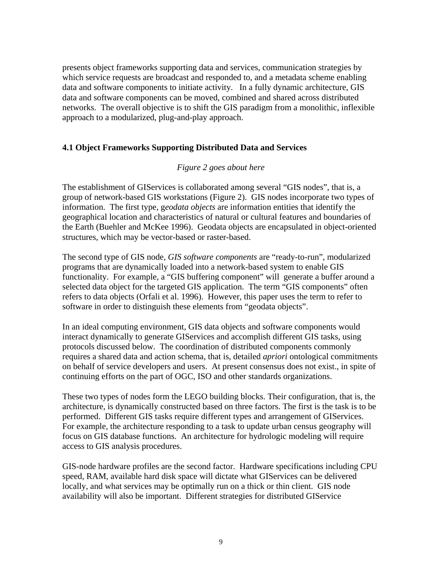presents object frameworks supporting data and services, communication strategies by which service requests are broadcast and responded to, and a metadata scheme enabling data and software components to initiate activity. In a fully dynamic architecture, GIS data and software components can be moved, combined and shared across distributed networks. The overall objective is to shift the GIS paradigm from a monolithic, inflexible approach to a modularized, plug-and-play approach.

### **4.1 Object Frameworks Supporting Distributed Data and Services**

### *Figure 2 goes about here*

The establishment of GIServices is collaborated among several "GIS nodes", that is, a group of network-based GIS workstations (Figure 2). GIS nodes incorporate two types of information. The first type, g*eodata objects* are information entities that identify the geographical location and characteristics of natural or cultural features and boundaries of the Earth (Buehler and McKee 1996). Geodata objects are encapsulated in object-oriented structures, which may be vector-based or raster-based.

The second type of GIS node, *GIS software components* are "ready-to-run", modularized programs that are dynamically loaded into a network-based system to enable GIS functionality. For example, a "GIS buffering component" will generate a buffer around a selected data object for the targeted GIS application. The term "GIS components" often refers to data objects (Orfali et al. 1996). However, this paper uses the term to refer to software in order to distinguish these elements from "geodata objects".

In an ideal computing environment, GIS data objects and software components would interact dynamically to generate GIServices and accomplish different GIS tasks, using protocols discussed below. The coordination of distributed components commonly requires a shared data and action schema, that is, detailed *apriori* ontological commitments on behalf of service developers and users. At present consensus does not exist., in spite of continuing efforts on the part of OGC, ISO and other standards organizations.

These two types of nodes form the LEGO building blocks. Their configuration, that is, the architecture, is dynamically constructed based on three factors. The first is the task is to be performed. Different GIS tasks require different types and arrangement of GIServices. For example, the architecture responding to a task to update urban census geography will focus on GIS database functions. An architecture for hydrologic modeling will require access to GIS analysis procedures.

GIS-node hardware profiles are the second factor. Hardware specifications including CPU speed, RAM, available hard disk space will dictate what GIServices can be delivered locally, and what services may be optimally run on a thick or thin client. GIS node availability will also be important. Different strategies for distributed GIService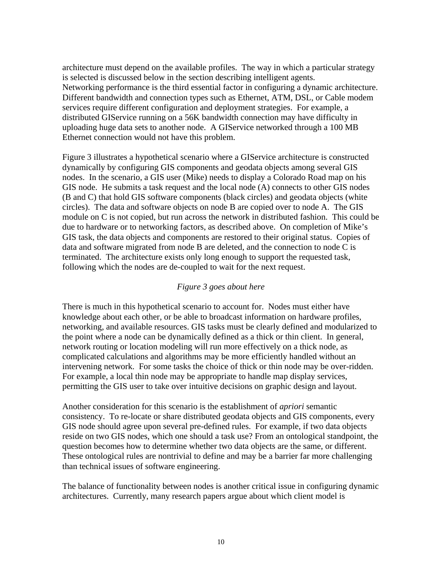architecture must depend on the available profiles. The way in which a particular strategy is selected is discussed below in the section describing intelligent agents. Networking performance is the third essential factor in configuring a dynamic architecture. Different bandwidth and connection types such as Ethernet, ATM, DSL, or Cable modem services require different configuration and deployment strategies. For example, a distributed GIService running on a 56K bandwidth connection may have difficulty in uploading huge data sets to another node. A GIService networked through a 100 MB Ethernet connection would not have this problem.

Figure 3 illustrates a hypothetical scenario where a GIService architecture is constructed dynamically by configuring GIS components and geodata objects among several GIS nodes. In the scenario, a GIS user (Mike) needs to display a Colorado Road map on his GIS node. He submits a task request and the local node (A) connects to other GIS nodes (B and C) that hold GIS software components (black circles) and geodata objects (white circles). The data and software objects on node B are copied over to node A. The GIS module on C is not copied, but run across the network in distributed fashion. This could be due to hardware or to networking factors, as described above. On completion of Mike's GIS task, the data objects and components are restored to their original status. Copies of data and software migrated from node B are deleted, and the connection to node C is terminated. The architecture exists only long enough to support the requested task, following which the nodes are de-coupled to wait for the next request.

### *Figure 3 goes about here*

There is much in this hypothetical scenario to account for. Nodes must either have knowledge about each other, or be able to broadcast information on hardware profiles, networking, and available resources. GIS tasks must be clearly defined and modularized to the point where a node can be dynamically defined as a thick or thin client. In general, network routing or location modeling will run more effectively on a thick node, as complicated calculations and algorithms may be more efficiently handled without an intervening network. For some tasks the choice of thick or thin node may be over-ridden. For example, a local thin node may be appropriate to handle map display services, permitting the GIS user to take over intuitive decisions on graphic design and layout.

Another consideration for this scenario is the establishment of *apriori* semantic consistency. To re-locate or share distributed geodata objects and GIS components, every GIS node should agree upon several pre-defined rules. For example, if two data objects reside on two GIS nodes, which one should a task use? From an ontological standpoint, the question becomes how to determine whether two data objects are the same, or different. These ontological rules are nontrivial to define and may be a barrier far more challenging than technical issues of software engineering.

The balance of functionality between nodes is another critical issue in configuring dynamic architectures. Currently, many research papers argue about which client model is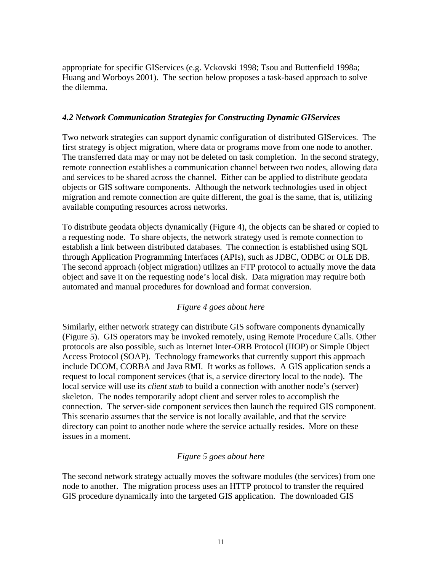appropriate for specific GIServices (e.g. Vckovski 1998; Tsou and Buttenfield 1998a; Huang and Worboys 2001). The section below proposes a task-based approach to solve the dilemma.

## *4.2 Network Communication Strategies for Constructing Dynamic GIServices*

Two network strategies can support dynamic configuration of distributed GIServices. The first strategy is object migration, where data or programs move from one node to another. The transferred data may or may not be deleted on task completion. In the second strategy, remote connection establishes a communication channel between two nodes, allowing data and services to be shared across the channel. Either can be applied to distribute geodata objects or GIS software components. Although the network technologies used in object migration and remote connection are quite different, the goal is the same, that is, utilizing available computing resources across networks.

To distribute geodata objects dynamically (Figure 4), the objects can be shared or copied to a requesting node. To share objects, the network strategy used is remote connection to establish a link between distributed databases. The connection is established using SQL through Application Programming Interfaces (APIs), such as JDBC, ODBC or OLE DB. The second approach (object migration) utilizes an FTP protocol to actually move the data object and save it on the requesting node's local disk. Data migration may require both automated and manual procedures for download and format conversion.

# *Figure 4 goes about here*

Similarly, either network strategy can distribute GIS software components dynamically (Figure 5). GIS operators may be invoked remotely, using Remote Procedure Calls. Other protocols are also possible, such as Internet Inter-ORB Protocol (IIOP) or Simple Object Access Protocol (SOAP). Technology frameworks that currently support this approach include DCOM, CORBA and Java RMI. It works as follows. A GIS application sends a request to local component services (that is, a service directory local to the node). The local service will use its *client stub* to build a connection with another node's (server) skeleton. The nodes temporarily adopt client and server roles to accomplish the connection. The server-side component services then launch the required GIS component. This scenario assumes that the service is not locally available, and that the service directory can point to another node where the service actually resides. More on these issues in a moment.

### *Figure 5 goes about here*

The second network strategy actually moves the software modules (the services) from one node to another. The migration process uses an HTTP protocol to transfer the required GIS procedure dynamically into the targeted GIS application. The downloaded GIS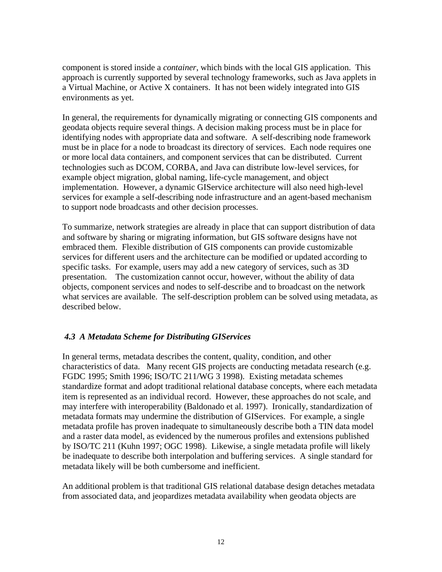component is stored inside a *container*, which binds with the local GIS application. This approach is currently supported by several technology frameworks, such as Java applets in a Virtual Machine, or Active X containers. It has not been widely integrated into GIS environments as yet.

In general, the requirements for dynamically migrating or connecting GIS components and geodata objects require several things. A decision making process must be in place for identifying nodes with appropriate data and software. A self-describing node framework must be in place for a node to broadcast its directory of services. Each node requires one or more local data containers, and component services that can be distributed. Current technologies such as DCOM, CORBA, and Java can distribute low-level services, for example object migration, global naming, life-cycle management, and object implementation. However, a dynamic GIService architecture will also need high-level services for example a self-describing node infrastructure and an agent-based mechanism to support node broadcasts and other decision processes.

To summarize, network strategies are already in place that can support distribution of data and software by sharing or migrating information, but GIS software designs have not embraced them. Flexible distribution of GIS components can provide customizable services for different users and the architecture can be modified or updated according to specific tasks. For example, users may add a new category of services, such as 3D presentation. The customization cannot occur, however, without the ability of data objects, component services and nodes to self-describe and to broadcast on the network what services are available. The self-description problem can be solved using metadata, as described below.

# *4.3 A Metadata Scheme for Distributing GIServices*

In general terms, metadata describes the content, quality, condition, and other characteristics of data. Many recent GIS projects are conducting metadata research (e.g. FGDC 1995; Smith 1996; ISO/TC 211/WG 3 1998). Existing metadata schemes standardize format and adopt traditional relational database concepts, where each metadata item is represented as an individual record. However, these approaches do not scale, and may interfere with interoperability (Baldonado et al. 1997). Ironically, standardization of metadata formats may undermine the distribution of GIServices. For example, a single metadata profile has proven inadequate to simultaneously describe both a TIN data model and a raster data model, as evidenced by the numerous profiles and extensions published by ISO/TC 211 (Kuhn 1997; OGC 1998). Likewise, a single metadata profile will likely be inadequate to describe both interpolation and buffering services. A single standard for metadata likely will be both cumbersome and inefficient.

An additional problem is that traditional GIS relational database design detaches metadata from associated data, and jeopardizes metadata availability when geodata objects are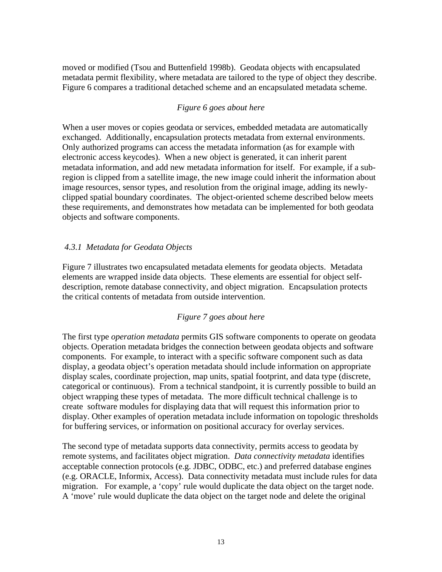moved or modified (Tsou and Buttenfield 1998b). Geodata objects with encapsulated metadata permit flexibility, where metadata are tailored to the type of object they describe. Figure 6 compares a traditional detached scheme and an encapsulated metadata scheme.

# *Figure 6 goes about here*

When a user moves or copies geodata or services, embedded metadata are automatically exchanged. Additionally, encapsulation protects metadata from external environments. Only authorized programs can access the metadata information (as for example with electronic access keycodes). When a new object is generated, it can inherit parent metadata information, and add new metadata information for itself. For example, if a subregion is clipped from a satellite image, the new image could inherit the information about image resources, sensor types, and resolution from the original image, adding its newlyclipped spatial boundary coordinates. The object-oriented scheme described below meets these requirements, and demonstrates how metadata can be implemented for both geodata objects and software components.

## *4.3.1 Metadata for Geodata Objects*

Figure 7 illustrates two encapsulated metadata elements for geodata objects. Metadata elements are wrapped inside data objects. These elements are essential for object selfdescription, remote database connectivity, and object migration. Encapsulation protects the critical contents of metadata from outside intervention.

### *Figure 7 goes about here*

The first type *operation metadata* permits GIS software components to operate on geodata objects. Operation metadata bridges the connection between geodata objects and software components. For example, to interact with a specific software component such as data display, a geodata object's operation metadata should include information on appropriate display scales, coordinate projection, map units, spatial footprint, and data type (discrete, categorical or continuous). From a technical standpoint, it is currently possible to build an object wrapping these types of metadata. The more difficult technical challenge is to create software modules for displaying data that will request this information prior to display. Other examples of operation metadata include information on topologic thresholds for buffering services, or information on positional accuracy for overlay services.

The second type of metadata supports data connectivity, permits access to geodata by remote systems, and facilitates object migration. *Data connectivity metadata* identifies acceptable connection protocols (e.g. JDBC, ODBC, etc.) and preferred database engines (e.g. ORACLE, Informix, Access). Data connectivity metadata must include rules for data migration. For example, a 'copy' rule would duplicate the data object on the target node. A 'move' rule would duplicate the data object on the target node and delete the original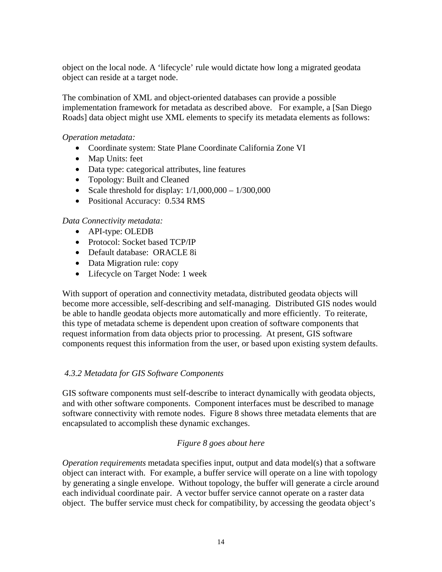object on the local node. A 'lifecycle' rule would dictate how long a migrated geodata object can reside at a target node.

The combination of XML and object-oriented databases can provide a possible implementation framework for metadata as described above. For example, a [San Diego Roads] data object might use XML elements to specify its metadata elements as follows:

### *Operation metadata:*

- Coordinate system: State Plane Coordinate California Zone VI
- Map Units: feet
- Data type: categorical attributes, line features
- Topology: Built and Cleaned
- Scale threshold for display:  $1/1,000,000 1/300,000$
- Positional Accuracy: 0.534 RMS

## *Data Connectivity metadata:*

- API-type: OLEDB
- Protocol: Socket based TCP/IP
- Default database: ORACLE 8i
- Data Migration rule: copy
- Lifecycle on Target Node: 1 week

With support of operation and connectivity metadata, distributed geodata objects will become more accessible, self-describing and self-managing. Distributed GIS nodes would be able to handle geodata objects more automatically and more efficiently. To reiterate, this type of metadata scheme is dependent upon creation of software components that request information from data objects prior to processing. At present, GIS software components request this information from the user, or based upon existing system defaults.

### *4.3.2 Metadata for GIS Software Components*

GIS software components must self-describe to interact dynamically with geodata objects, and with other software components. Component interfaces must be described to manage software connectivity with remote nodes. Figure 8 shows three metadata elements that are encapsulated to accomplish these dynamic exchanges.

### *Figure 8 goes about here*

*Operation requirements* metadata specifies input, output and data model(s) that a software object can interact with. For example, a buffer service will operate on a line with topology by generating a single envelope. Without topology, the buffer will generate a circle around each individual coordinate pair. A vector buffer service cannot operate on a raster data object. The buffer service must check for compatibility, by accessing the geodata object's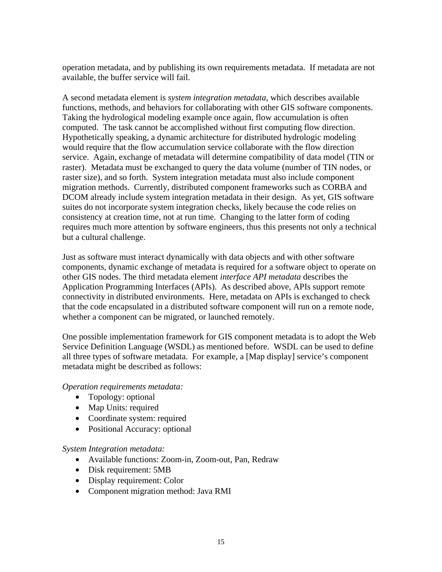operation metadata, and by publishing its own requirements metadata. If metadata are not available, the buffer service will fail.

A second metadata element is *system integration metadata*, which describes available functions, methods, and behaviors for collaborating with other GIS software components. Taking the hydrological modeling example once again, flow accumulation is often computed. The task cannot be accomplished without first computing flow direction. Hypothetically speaking, a dynamic architecture for distributed hydrologic modeling would require that the flow accumulation service collaborate with the flow direction service. Again, exchange of metadata will determine compatibility of data model (TIN or raster). Metadata must be exchanged to query the data volume (number of TIN nodes, or raster size), and so forth. System integration metadata must also include component migration methods. Currently, distributed component frameworks such as CORBA and DCOM already include system integration metadata in their design. As yet, GIS software suites do not incorporate system integration checks, likely because the code relies on consistency at creation time, not at run time. Changing to the latter form of coding requires much more attention by software engineers, thus this presents not only a technical but a cultural challenge.

Just as software must interact dynamically with data objects and with other software components, dynamic exchange of metadata is required for a software object to operate on other GIS nodes. The third metadata element *interface API metadata* describes the Application Programming Interfaces (APIs). As described above, APIs support remote connectivity in distributed environments. Here, metadata on APIs is exchanged to check that the code encapsulated in a distributed software component will run on a remote node, whether a component can be migrated, or launched remotely.

One possible implementation framework for GIS component metadata is to adopt the Web Service Definition Language (WSDL) as mentioned before. WSDL can be used to define all three types of software metadata. For example, a [Map display] service's component metadata might be described as follows:

*Operation requirements metadata:* 

- Topology: optional
- Map Units: required
- Coordinate system: required
- Positional Accuracy: optional

### *System Integration metadata:*

- Available functions: Zoom-in, Zoom-out, Pan, Redraw
- Disk requirement: 5MB
- Display requirement: Color
- Component migration method: Java RMI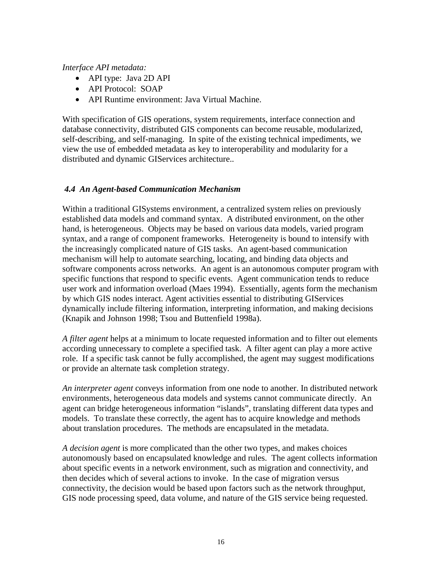## *Interface API metadata:*

- API type: Java 2D API
- API Protocol: SOAP
- API Runtime environment: Java Virtual Machine.

With specification of GIS operations, system requirements, interface connection and database connectivity, distributed GIS components can become reusable, modularized, self-describing, and self-managing. In spite of the existing technical impediments, we view the use of embedded metadata as key to interoperability and modularity for a distributed and dynamic GIServices architecture..

# *4.4 An Agent-based Communication Mechanism*

Within a traditional GISystems environment, a centralized system relies on previously established data models and command syntax. A distributed environment, on the other hand, is heterogeneous. Objects may be based on various data models, varied program syntax, and a range of component frameworks. Heterogeneity is bound to intensify with the increasingly complicated nature of GIS tasks. An agent-based communication mechanism will help to automate searching, locating, and binding data objects and software components across networks. An agent is an autonomous computer program with specific functions that respond to specific events. Agent communication tends to reduce user work and information overload (Maes 1994). Essentially, agents form the mechanism by which GIS nodes interact. Agent activities essential to distributing GIServices dynamically include filtering information, interpreting information, and making decisions (Knapik and Johnson 1998; Tsou and Buttenfield 1998a).

*A filter agent* helps at a minimum to locate requested information and to filter out elements according unnecessary to complete a specified task. A filter agent can play a more active role. If a specific task cannot be fully accomplished, the agent may suggest modifications or provide an alternate task completion strategy.

*An interpreter agent* conveys information from one node to another. In distributed network environments, heterogeneous data models and systems cannot communicate directly. An agent can bridge heterogeneous information "islands", translating different data types and models. To translate these correctly, the agent has to acquire knowledge and methods about translation procedures. The methods are encapsulated in the metadata.

*A decision agent* is more complicated than the other two types, and makes choices autonomously based on encapsulated knowledge and rules. The agent collects information about specific events in a network environment, such as migration and connectivity, and then decides which of several actions to invoke. In the case of migration versus connectivity, the decision would be based upon factors such as the network throughput, GIS node processing speed, data volume, and nature of the GIS service being requested.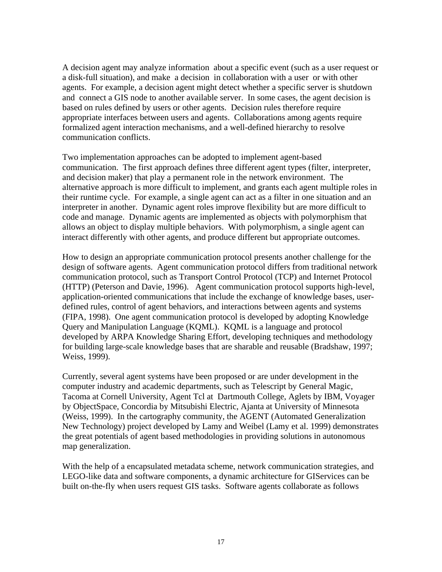A decision agent may analyze information about a specific event (such as a user request or a disk-full situation), and make a decision in collaboration with a user or with other agents. For example, a decision agent might detect whether a specific server is shutdown and connect a GIS node to another available server. In some cases, the agent decision is based on rules defined by users or other agents. Decision rules therefore require appropriate interfaces between users and agents. Collaborations among agents require formalized agent interaction mechanisms, and a well-defined hierarchy to resolve communication conflicts.

Two implementation approaches can be adopted to implement agent-based communication. The first approach defines three different agent types (filter, interpreter, and decision maker) that play a permanent role in the network environment. The alternative approach is more difficult to implement, and grants each agent multiple roles in their runtime cycle. For example, a single agent can act as a filter in one situation and an interpreter in another. Dynamic agent roles improve flexibility but are more difficult to code and manage. Dynamic agents are implemented as objects with polymorphism that allows an object to display multiple behaviors. With polymorphism, a single agent can interact differently with other agents, and produce different but appropriate outcomes.

How to design an appropriate communication protocol presents another challenge for the design of software agents. Agent communication protocol differs from traditional network communication protocol, such as Transport Control Protocol (TCP) and Internet Protocol (HTTP) (Peterson and Davie, 1996). Agent communication protocol supports high-level, application-oriented communications that include the exchange of knowledge bases, userdefined rules, control of agent behaviors, and interactions between agents and systems (FIPA, 1998). One agent communication protocol is developed by adopting Knowledge Query and Manipulation Language (KQML). KQML is a language and protocol developed by ARPA Knowledge Sharing Effort, developing techniques and methodology for building large-scale knowledge bases that are sharable and reusable (Bradshaw, 1997; Weiss, 1999).

Currently, several agent systems have been proposed or are under development in the computer industry and academic departments, such as Telescript by General Magic, Tacoma at Cornell University, Agent Tcl at Dartmouth College, Aglets by IBM, Voyager by ObjectSpace, Concordia by Mitsubishi Electric, Ajanta at University of Minnesota (Weiss, 1999). In the cartography community, the AGENT (Automated Generalization New Technology) project developed by Lamy and Weibel (Lamy et al. 1999) demonstrates the great potentials of agent based methodologies in providing solutions in autonomous map generalization.

With the help of a encapsulated metadata scheme, network communication strategies, and LEGO-like data and software components, a dynamic architecture for GIServices can be built on-the-fly when users request GIS tasks. Software agents collaborate as follows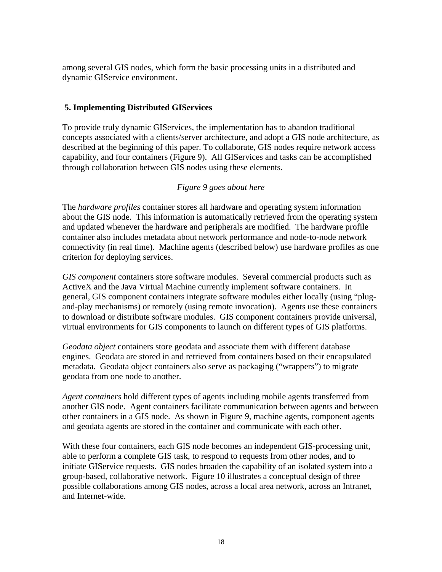among several GIS nodes, which form the basic processing units in a distributed and dynamic GIService environment.

# **5. Implementing Distributed GIServices**

To provide truly dynamic GIServices, the implementation has to abandon traditional concepts associated with a clients/server architecture, and adopt a GIS node architecture, as described at the beginning of this paper. To collaborate, GIS nodes require network access capability, and four containers (Figure 9). All GIServices and tasks can be accomplished through collaboration between GIS nodes using these elements.

# *Figure 9 goes about here*

The *hardware profiles* container stores all hardware and operating system information about the GIS node. This information is automatically retrieved from the operating system and updated whenever the hardware and peripherals are modified. The hardware profile container also includes metadata about network performance and node-to-node network connectivity (in real time). Machine agents (described below) use hardware profiles as one criterion for deploying services.

*GIS component* containers store software modules. Several commercial products such as ActiveX and the Java Virtual Machine currently implement software containers. In general, GIS component containers integrate software modules either locally (using "plugand-play mechanisms) or remotely (using remote invocation). Agents use these containers to download or distribute software modules. GIS component containers provide universal, virtual environments for GIS components to launch on different types of GIS platforms.

*Geodata object* containers store geodata and associate them with different database engines. Geodata are stored in and retrieved from containers based on their encapsulated metadata. Geodata object containers also serve as packaging ("wrappers") to migrate geodata from one node to another.

*Agent containers* hold different types of agents including mobile agents transferred from another GIS node. Agent containers facilitate communication between agents and between other containers in a GIS node. As shown in Figure 9, machine agents, component agents and geodata agents are stored in the container and communicate with each other.

With these four containers, each GIS node becomes an independent GIS-processing unit, able to perform a complete GIS task, to respond to requests from other nodes, and to initiate GIService requests. GIS nodes broaden the capability of an isolated system into a group-based, collaborative network. Figure 10 illustrates a conceptual design of three possible collaborations among GIS nodes, across a local area network, across an Intranet, and Internet-wide.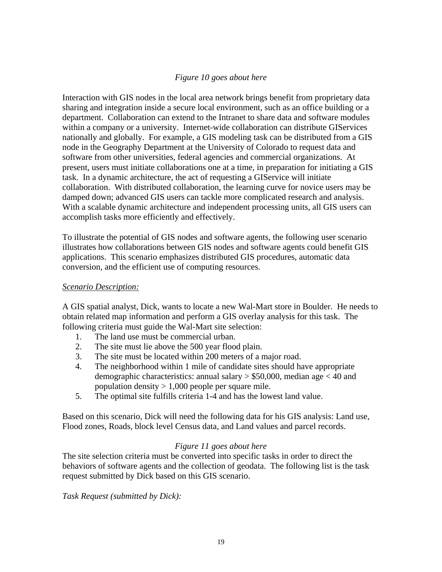# *Figure 10 goes about here*

Interaction with GIS nodes in the local area network brings benefit from proprietary data sharing and integration inside a secure local environment, such as an office building or a department. Collaboration can extend to the Intranet to share data and software modules within a company or a university. Internet-wide collaboration can distribute GIServices nationally and globally. For example, a GIS modeling task can be distributed from a GIS node in the Geography Department at the University of Colorado to request data and software from other universities, federal agencies and commercial organizations. At present, users must initiate collaborations one at a time, in preparation for initiating a GIS task. In a dynamic architecture, the act of requesting a GIService will initiate collaboration. With distributed collaboration, the learning curve for novice users may be damped down; advanced GIS users can tackle more complicated research and analysis. With a scalable dynamic architecture and independent processing units, all GIS users can accomplish tasks more efficiently and effectively.

To illustrate the potential of GIS nodes and software agents, the following user scenario illustrates how collaborations between GIS nodes and software agents could benefit GIS applications. This scenario emphasizes distributed GIS procedures, automatic data conversion, and the efficient use of computing resources.

### *Scenario Description:*

A GIS spatial analyst, Dick, wants to locate a new Wal-Mart store in Boulder. He needs to obtain related map information and perform a GIS overlay analysis for this task. The following criteria must guide the Wal-Mart site selection:

- 1. The land use must be commercial urban.
- 2. The site must lie above the 500 year flood plain.
- 3. The site must be located within 200 meters of a major road.
- 4. The neighborhood within 1 mile of candidate sites should have appropriate demographic characteristics: annual salary > \$50,000, median age < 40 and population density  $> 1,000$  people per square mile.
- 5. The optimal site fulfills criteria 1-4 and has the lowest land value.

Based on this scenario, Dick will need the following data for his GIS analysis: Land use, Flood zones, Roads, block level Census data, and Land values and parcel records.

### *Figure 11 goes about here*

The site selection criteria must be converted into specific tasks in order to direct the behaviors of software agents and the collection of geodata. The following list is the task request submitted by Dick based on this GIS scenario.

*Task Request (submitted by Dick):*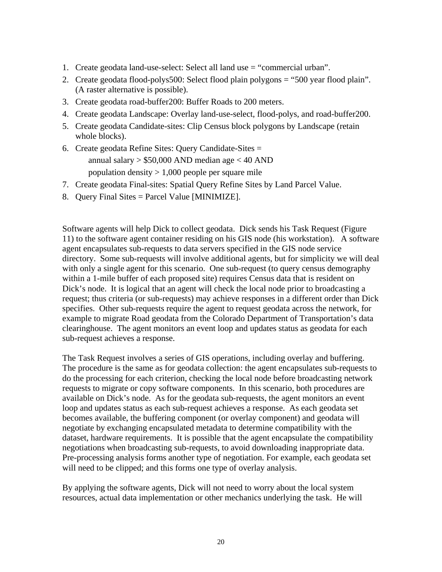- 1. Create geodata land-use-select: Select all land use = "commercial urban".
- 2. Create geodata flood-polys500: Select flood plain polygons = "500 year flood plain". (A raster alternative is possible).
- 3. Create geodata road-buffer200: Buffer Roads to 200 meters.
- 4. Create geodata Landscape: Overlay land-use-select, flood-polys, and road-buffer200.
- 5. Create geodata Candidate-sites: Clip Census block polygons by Landscape (retain whole blocks).
- 6. Create geodata Refine Sites: Query Candidate-Sites = annual salary  $> $50,000$  AND median age  $< 40$  AND population density  $> 1,000$  people per square mile
- 7. Create geodata Final-sites: Spatial Query Refine Sites by Land Parcel Value.
- 8. Query Final Sites = Parcel Value [MINIMIZE].

Software agents will help Dick to collect geodata. Dick sends his Task Request (Figure 11) to the software agent container residing on his GIS node (his workstation). A software agent encapsulates sub-requests to data servers specified in the GIS node service directory. Some sub-requests will involve additional agents, but for simplicity we will deal with only a single agent for this scenario. One sub-request (to query census demography within a 1-mile buffer of each proposed site) requires Census data that is resident on Dick's node. It is logical that an agent will check the local node prior to broadcasting a request; thus criteria (or sub-requests) may achieve responses in a different order than Dick specifies. Other sub-requests require the agent to request geodata across the network, for example to migrate Road geodata from the Colorado Department of Transportation's data clearinghouse. The agent monitors an event loop and updates status as geodata for each sub-request achieves a response.

The Task Request involves a series of GIS operations, including overlay and buffering. The procedure is the same as for geodata collection: the agent encapsulates sub-requests to do the processing for each criterion, checking the local node before broadcasting network requests to migrate or copy software components. In this scenario, both procedures are available on Dick's node. As for the geodata sub-requests, the agent monitors an event loop and updates status as each sub-request achieves a response. As each geodata set becomes available, the buffering component (or overlay component) and geodata will negotiate by exchanging encapsulated metadata to determine compatibility with the dataset, hardware requirements. It is possible that the agent encapsulate the compatibility negotiations when broadcasting sub-requests, to avoid downloading inappropriate data. Pre-processing analysis forms another type of negotiation. For example, each geodata set will need to be clipped; and this forms one type of overlay analysis.

By applying the software agents, Dick will not need to worry about the local system resources, actual data implementation or other mechanics underlying the task. He will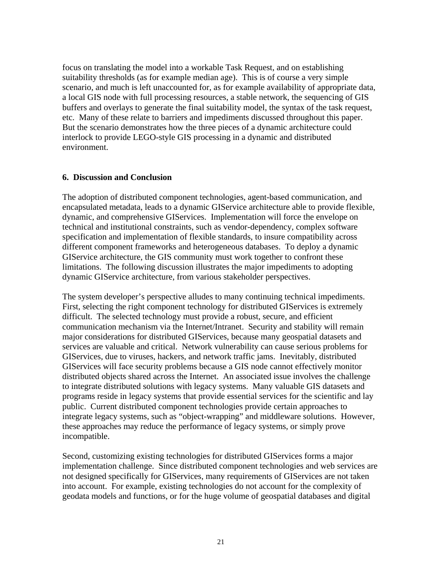focus on translating the model into a workable Task Request, and on establishing suitability thresholds (as for example median age). This is of course a very simple scenario, and much is left unaccounted for, as for example availability of appropriate data, a local GIS node with full processing resources, a stable network, the sequencing of GIS buffers and overlays to generate the final suitability model, the syntax of the task request, etc. Many of these relate to barriers and impediments discussed throughout this paper. But the scenario demonstrates how the three pieces of a dynamic architecture could interlock to provide LEGO-style GIS processing in a dynamic and distributed environment.

#### **6. Discussion and Conclusion**

The adoption of distributed component technologies, agent-based communication, and encapsulated metadata, leads to a dynamic GIService architecture able to provide flexible, dynamic, and comprehensive GIServices. Implementation will force the envelope on technical and institutional constraints, such as vendor-dependency, complex software specification and implementation of flexible standards, to insure compatibility across different component frameworks and heterogeneous databases. To deploy a dynamic GIService architecture, the GIS community must work together to confront these limitations. The following discussion illustrates the major impediments to adopting dynamic GIService architecture, from various stakeholder perspectives.

The system developer's perspective alludes to many continuing technical impediments. First, selecting the right component technology for distributed GIServices is extremely difficult. The selected technology must provide a robust, secure, and efficient communication mechanism via the Internet/Intranet. Security and stability will remain major considerations for distributed GIServices, because many geospatial datasets and services are valuable and critical. Network vulnerability can cause serious problems for GIServices, due to viruses, hackers, and network traffic jams. Inevitably, distributed GIServices will face security problems because a GIS node cannot effectively monitor distributed objects shared across the Internet. An associated issue involves the challenge to integrate distributed solutions with legacy systems. Many valuable GIS datasets and programs reside in legacy systems that provide essential services for the scientific and lay public. Current distributed component technologies provide certain approaches to integrate legacy systems, such as "object-wrapping" and middleware solutions. However, these approaches may reduce the performance of legacy systems, or simply prove incompatible.

Second, customizing existing technologies for distributed GIServices forms a major implementation challenge. Since distributed component technologies and web services are not designed specifically for GIServices, many requirements of GIServices are not taken into account. For example, existing technologies do not account for the complexity of geodata models and functions, or for the huge volume of geospatial databases and digital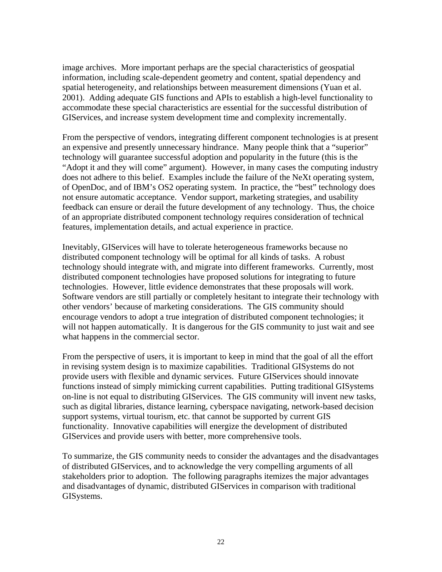image archives. More important perhaps are the special characteristics of geospatial information, including scale-dependent geometry and content, spatial dependency and spatial heterogeneity, and relationships between measurement dimensions (Yuan et al. 2001). Adding adequate GIS functions and APIs to establish a high-level functionality to accommodate these special characteristics are essential for the successful distribution of GIServices, and increase system development time and complexity incrementally.

From the perspective of vendors, integrating different component technologies is at present an expensive and presently unnecessary hindrance. Many people think that a "superior" technology will guarantee successful adoption and popularity in the future (this is the "Adopt it and they will come" argument). However, in many cases the computing industry does not adhere to this belief. Examples include the failure of the NeXt operating system, of OpenDoc, and of IBM's OS2 operating system. In practice, the "best" technology does not ensure automatic acceptance. Vendor support, marketing strategies, and usability feedback can ensure or derail the future development of any technology. Thus, the choice of an appropriate distributed component technology requires consideration of technical features, implementation details, and actual experience in practice.

Inevitably, GIServices will have to tolerate heterogeneous frameworks because no distributed component technology will be optimal for all kinds of tasks. A robust technology should integrate with, and migrate into different frameworks. Currently, most distributed component technologies have proposed solutions for integrating to future technologies. However, little evidence demonstrates that these proposals will work. Software vendors are still partially or completely hesitant to integrate their technology with other vendors' because of marketing considerations. The GIS community should encourage vendors to adopt a true integration of distributed component technologies; it will not happen automatically. It is dangerous for the GIS community to just wait and see what happens in the commercial sector.

From the perspective of users, it is important to keep in mind that the goal of all the effort in revising system design is to maximize capabilities. Traditional GISystems do not provide users with flexible and dynamic services. Future GIServices should innovate functions instead of simply mimicking current capabilities. Putting traditional GISystems on-line is not equal to distributing GIServices. The GIS community will invent new tasks, such as digital libraries, distance learning, cyberspace navigating, network-based decision support systems, virtual tourism, etc. that cannot be supported by current GIS functionality. Innovative capabilities will energize the development of distributed GIServices and provide users with better, more comprehensive tools.

To summarize, the GIS community needs to consider the advantages and the disadvantages of distributed GIServices, and to acknowledge the very compelling arguments of all stakeholders prior to adoption. The following paragraphs itemizes the major advantages and disadvantages of dynamic, distributed GIServices in comparison with traditional GISystems.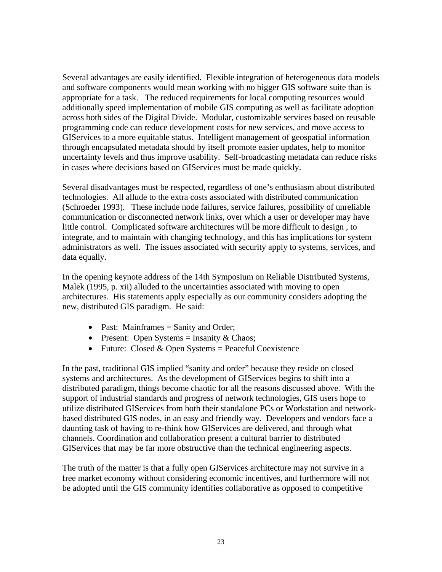Several advantages are easily identified. Flexible integration of heterogeneous data models and software components would mean working with no bigger GIS software suite than is appropriate for a task. The reduced requirements for local computing resources would additionally speed implementation of mobile GIS computing as well as facilitate adoption across both sides of the Digital Divide. Modular, customizable services based on reusable programming code can reduce development costs for new services, and move access to GIServices to a more equitable status. Intelligent management of geospatial information through encapsulated metadata should by itself promote easier updates, help to monitor uncertainty levels and thus improve usability. Self-broadcasting metadata can reduce risks in cases where decisions based on GIServices must be made quickly.

Several disadvantages must be respected, regardless of one's enthusiasm about distributed technologies. All allude to the extra costs associated with distributed communication (Schroeder 1993). These include node failures, service failures, possibility of unreliable communication or disconnected network links, over which a user or developer may have little control. Complicated software architectures will be more difficult to design , to integrate, and to maintain with changing technology, and this has implications for system administrators as well. The issues associated with security apply to systems, services, and data equally.

In the opening keynote address of the 14th Symposium on Reliable Distributed Systems, Malek (1995, p. xii) alluded to the uncertainties associated with moving to open architectures. His statements apply especially as our community considers adopting the new, distributed GIS paradigm. He said:

- Past: Mainframes = Sanity and Order;
- Present: Open Systems = Insanity & Chaos;
- Future: Closed & Open Systems = Peaceful Coexistence

In the past, traditional GIS implied "sanity and order" because they reside on closed systems and architectures. As the development of GIServices begins to shift into a distributed paradigm, things become chaotic for all the reasons discussed above. With the support of industrial standards and progress of network technologies, GIS users hope to utilize distributed GIServices from both their standalone PCs or Workstation and networkbased distributed GIS nodes, in an easy and friendly way. Developers and vendors face a daunting task of having to re-think how GIServices are delivered, and through what channels. Coordination and collaboration present a cultural barrier to distributed GIServices that may be far more obstructive than the technical engineering aspects.

The truth of the matter is that a fully open GIServices architecture may not survive in a free market economy without considering economic incentives, and furthermore will not be adopted until the GIS community identifies collaborative as opposed to competitive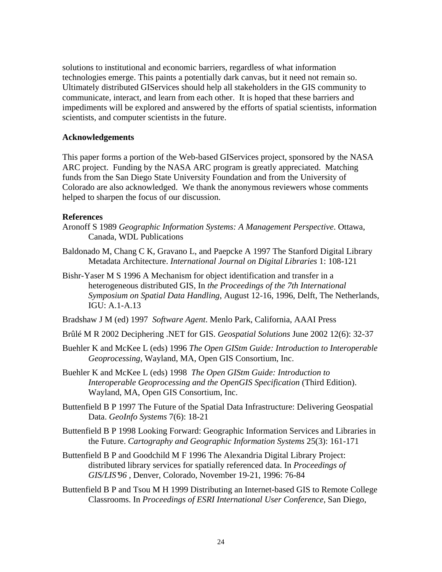solutions to institutional and economic barriers, regardless of what information technologies emerge. This paints a potentially dark canvas, but it need not remain so. Ultimately distributed GIServices should help all stakeholders in the GIS community to communicate, interact, and learn from each other. It is hoped that these barriers and impediments will be explored and answered by the efforts of spatial scientists, information scientists, and computer scientists in the future.

#### **Acknowledgements**

This paper forms a portion of the Web-based GIServices project, sponsored by the NASA ARC project. Funding by the NASA ARC program is greatly appreciated. Matching funds from the San Diego State University Foundation and from the University of Colorado are also acknowledged. We thank the anonymous reviewers whose comments helped to sharpen the focus of our discussion.

#### **References**

- Aronoff S 1989 *Geographic Information Systems: A Management Perspective*. Ottawa, Canada, WDL Publications
- Baldonado M, Chang C K, Gravano L, and Paepcke A 1997 The Stanford Digital Library Metadata Architecture. *International Journal on Digital Libraries* 1: 108-121
- Bishr-Yaser M S 1996 A Mechanism for object identification and transfer in a heterogeneous distributed GIS, In *the Proceedings of the 7th International Symposium on Spatial Data Handling*, August 12-16, 1996, Delft, The Netherlands, IGU: A.1-A.13
- Bradshaw J M (ed) 1997 *Software Agent*. Menlo Park, California, AAAI Press

Brûlé M R 2002 Deciphering .NET for GIS. *Geospatial Solutions* June 2002 12(6): 32-37

- Buehler K and McKee L (eds) 1996 *The Open GIStm Guide: Introduction to Interoperable Geoprocessing*, Wayland, MA, Open GIS Consortium, Inc.
- Buehler K and McKee L (eds) 1998 *The Open GIStm Guide: Introduction to Interoperable Geoprocessing and the OpenGIS Specification* (Third Edition). Wayland, MA, Open GIS Consortium, Inc.
- Buttenfield B P 1997 The Future of the Spatial Data Infrastructure: Delivering Geospatial Data. *GeoInfo Systems* 7(6): 18-21
- Buttenfield B P 1998 Looking Forward: Geographic Information Services and Libraries in the Future. *Cartography and Geographic Information Systems* 25(3): 161-171
- Buttenfield B P and Goodchild M F 1996 The Alexandria Digital Library Project: distributed library services for spatially referenced data. In *Proceedings of GIS/LIS'96 ,* Denver, Colorado, November 19-21, 1996: 76-84
- Buttenfield B P and Tsou M H 1999 Distributing an Internet-based GIS to Remote College Classrooms. In *Proceedings of ESRI International User Conference*, San Diego,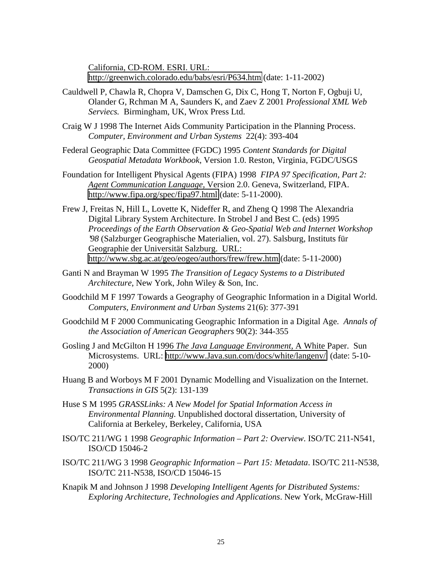California, CD-ROM. ESRI. URL: <http://greenwich.colorado.edu/babs/esri/P634.htm>(date: 1-11-2002)

- Cauldwell P, Chawla R, Chopra V, Damschen G, Dix C, Hong T, Norton F, Ogbuji U, Olander G, Rchman M A, Saunders K, and Zaev Z 2001 *Professional XML Web Serviecs.* Birmingham, UK, Wrox Press Ltd.
- Craig W J 1998 The Internet Aids Community Participation in the Planning Process. *Computer, Environment and Urban Systems* 22(4): 393-404
- Federal Geographic Data Committee (FGDC) 1995 *Content Standards for Digital Geospatial Metadata Workbook*, Version 1.0. Reston, Virginia, FGDC/USGS
- Foundation for Intelligent Physical Agents (FIPA) 1998 *FIPA 97 Specification, Part 2: Agent Communication Language,* Version 2.0. Geneva, Switzerland, FIPA. <http://www.fipa.org/spec/fipa97.html>(date: 5-11-2000).
- Frew J, Freitas N, Hill L, Lovette K, Nideffer R, and Zheng Q 1998 The Alexandria Digital Library System Architecture. In Strobel J and Best C. (eds) 1995 *Proceedings of the Earth Observation & Geo-Spatial Web and Internet Workshop '98* (Salzburger Geographische Materialien, vol. 27). Salsburg, Instituts für Geographie der Universität Salzburg. URL: <http://www.sbg.ac.at/geo/eogeo/authors/frew/frew.htm>(date: 5-11-2000)
- Ganti N and Brayman W 1995 *The Transition of Legacy Systems to a Distributed Architecture*, New York, John Wiley & Son, Inc.
- Goodchild M F 1997 Towards a Geography of Geographic Information in a Digital World. *Computers, Environment and Urban Systems* 21(6): 377-391
- Goodchild M F 2000 Communicating Geographic Information in a Digital Age*. Annals of the Association of American Geographers* 90(2): 344-355
- Gosling J and McGilton H 1996 *The Java Language Environment,* A White Paper. Sun Microsystems. URL: [http://www.Java.sun.com/docs/white/langenv/](http://www.java.sun.com/docs/white/langenv/) (date: 5-10-2000)
- Huang B and Worboys M F 2001 Dynamic Modelling and Visualization on the Internet. *Transactions in GIS* 5(2): 131-139
- Huse S M 1995 *GRASSLinks: A New Model for Spatial Information Access in Environmental Planning*. Unpublished doctoral dissertation, University of California at Berkeley, Berkeley, California, USA
- ISO/TC 211/WG 1 1998 *Geographic Information Part 2: Overview*. ISO/TC 211-N541, ISO/CD 15046-2
- ISO/TC 211/WG 3 1998 *Geographic Information Part 15: Metadata*. ISO/TC 211-N538, ISO/TC 211-N538, ISO/CD 15046-15
- Knapik M and Johnson J 1998 *Developing Intelligent Agents for Distributed Systems: Exploring Architecture, Technologies and Applications*. New York, McGraw-Hill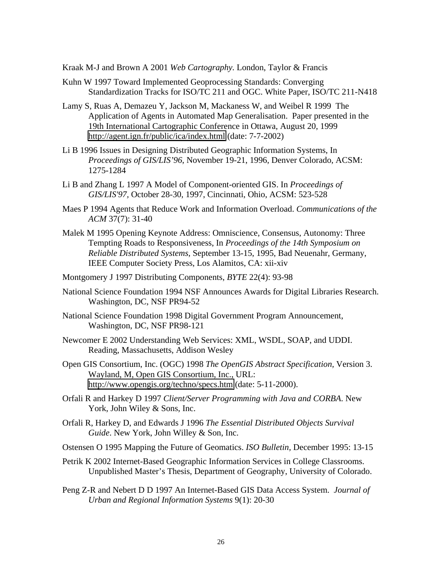Kraak M-J and Brown A 2001 *Web Cartography.* London, Taylor & Francis

- Kuhn W 1997 Toward Implemented Geoprocessing Standards: Converging Standardization Tracks for ISO/TC 211 and OGC. White Paper, ISO/TC 211-N418
- Lamy S, Ruas A, Demazeu Y, Jackson M, Mackaness W, and Weibel R 1999 The Application of Agents in Automated Map Generalisation. Paper presented in the 19th International Cartographic Conference in Ottawa, August 20, 1999 <http://agent.ign.fr/public/ica/index.html>(date: 7-7-2002)
- Li B 1996 Issues in Designing Distributed Geographic Information Systems, In *Proceedings of GIS/LIS'96*, November 19-21, 1996, Denver Colorado, ACSM: 1275-1284
- Li B and Zhang L 1997 A Model of Component-oriented GIS. In *Proceedings of GIS/LIS'97,* October 28-30, 1997, Cincinnati, Ohio, ACSM: 523-528
- Maes P 1994 Agents that Reduce Work and Information Overload. *Communications of the ACM* 37(7): 31-40
- Malek M 1995 Opening Keynote Address: Omniscience, Consensus, Autonomy: Three Tempting Roads to Responsiveness, In *Proceedings of the 14th Symposium on Reliable Distributed Systems*, September 13-15, 1995, Bad Neuenahr, Germany, IEEE Computer Society Press, Los Alamitos, CA: xii-xiv
- Montgomery J 1997 Distributing Components, *BYTE* 22(4): 93-98
- National Science Foundation 1994 NSF Announces Awards for Digital Libraries Research. Washington, DC, NSF PR94-52
- National Science Foundation 1998 Digital Government Program Announcement, Washington, DC, NSF PR98-121
- Newcomer E 2002 Understanding Web Services: XML, WSDL, SOAP, and UDDI. Reading, Massachusetts, Addison Wesley
- Open GIS Consortium, Inc. (OGC) 1998 *The OpenGIS Abstract Specification,* Version 3. Wayland, M, Open GIS Consortium, Inc., URL: <http://www.opengis.org/techno/specs.htm>(date: 5-11-2000).
- Orfali R and Harkey D 1997 *Client/Server Programming with Java and CORBA*. New York, John Wiley & Sons, Inc.
- Orfali R, Harkey D, and Edwards J 1996 *The Essential Distributed Objects Survival Guide*. New York, John Willey & Son, Inc.
- Ostensen O 1995 Mapping the Future of Geomatics. *ISO Bulletin,* December 1995: 13-15
- Petrik K 2002 Internet-Based Geographic Information Services in College Classrooms. Unpublished Master's Thesis, Department of Geography, University of Colorado.
- Peng Z-R and Nebert D D 1997 An Internet-Based GIS Data Access System. *Journal of Urban and Regional Information Systems* 9(1): 20-30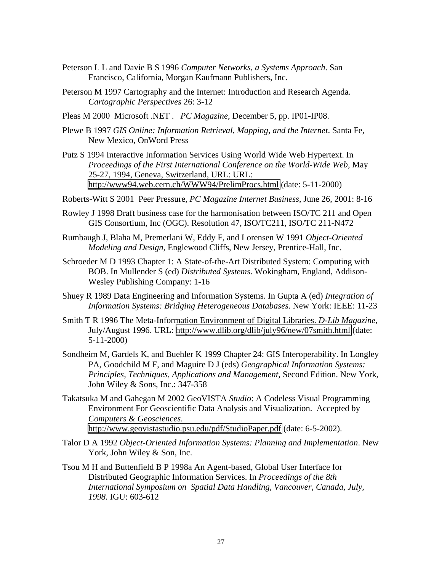- Peterson L L and Davie B S 1996 *Computer Networks, a Systems Approach*. San Francisco, California, Morgan Kaufmann Publishers, Inc.
- Peterson M 1997 Cartography and the Internet: Introduction and Research Agenda. *Cartographic Perspectives* 26: 3-12
- Pleas M 2000 Microsoft .NET . *PC Magazine*, December 5, pp. IP01-IP08.
- Plewe B 1997 *GIS Online: Information Retrieval, Mapping, and the Internet*. Santa Fe, New Mexico, OnWord Press
- Putz S 1994 Interactive Information Services Using World Wide Web Hypertext. In *Proceedings of the First International Conference on the World-Wide Web*, May 25-27, 1994, Geneva, Switzerland, URL: URL: <http://www94.web.cern.ch/WWW94/PrelimProcs.html>(date: 5-11-2000)
- Roberts-Witt S 2001 Peer Pressure, *PC Magazine Internet Business*, June 26, 2001: 8-16
- Rowley J 1998 Draft business case for the harmonisation between ISO/TC 211 and Open GIS Consortium, Inc (OGC). Resolution 47, ISO/TC211, ISO/TC 211-N472
- Rumbaugh J, Blaha M, Premerlani W, Eddy F, and Lorensen W 1991 *Object-Oriented Modeling and Design*, Englewood Cliffs, New Jersey, Prentice-Hall, Inc.
- Schroeder M D 1993 Chapter 1: A State-of-the-Art Distributed System: Computing with BOB. In Mullender S (ed) *Distributed Systems*. Wokingham, England, Addison-Wesley Publishing Company: 1-16
- Shuey R 1989 Data Engineering and Information Systems. In Gupta A (ed) *Integration of Information Systems: Bridging Heterogeneous Databases*. New York: IEEE: 11-23
- Smith T R 1996 The Meta-Information Environment of Digital Libraries. *D-Lib Magazine,*  July/August 1996. URL: <http://www.dlib.org/dlib/july96/new/07smith.html>(date: 5-11-2000)
- Sondheim M, Gardels K, and Buehler K 1999 Chapter 24: GIS Interoperability. In Longley PA, Goodchild M F, and Maguire D J (eds) *Geographical Information Systems: Principles, Techniques, Applications and Management,* Second Edition. New York, John Wiley & Sons, Inc.: 347-358
- Takatsuka M and Gahegan M 2002 GeoVISTA *Studio*: A Codeless Visual Programming Environment For Geoscientific Data Analysis and Visualization. Accepted by *Computers & Geosciences*. <http://www.geovistastudio.psu.edu/pdf/StudioPaper.pdf>(date: 6-5-2002).
- Talor D A 1992 *Object-Oriented Information Systems: Planning and Implementation*. New York, John Wiley & Son, Inc.
- Tsou M H and Buttenfield B P 1998a An Agent-based, Global User Interface for Distributed Geographic Information Services. In *Proceedings of the 8th International Symposium on Spatial Data Handling, Vancouver, Canada, July, 1998.* IGU: 603-612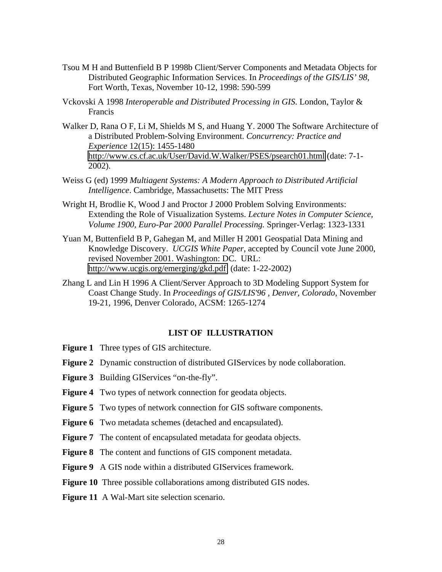- Tsou M H and Buttenfield B P 1998b Client/Server Components and Metadata Objects for Distributed Geographic Information Services. In *Proceedings of the GIS/LIS' 98,*  Fort Worth, Texas, November 10-12, 1998: 590-599
- Vckovski A 1998 *Interoperable and Distributed Processing in GIS*. London, Taylor & Francis
- Walker D, Rana O F, Li M, Shields M S, and Huang Y. 2000 The Software Architecture of a Distributed Problem-Solving Environment. *Concurrency: Practice and Experience* 12(15): 1455-1480 <http://www.cs.cf.ac.uk/User/David.W.Walker/PSES/psearch01.html>(date: 7-1- 2002).
- Weiss G (ed) 1999 *Multiagent Systems: A Modern Approach to Distributed Artificial Intelligence*. Cambridge, Massachusetts: The MIT Press
- Wright H, Brodlie K, Wood J and Proctor J 2000 Problem Solving Environments: Extending the Role of Visualization Systems. *Lecture Notes in Computer Science, Volume 1900, Euro-Par 2000 Parallel Processing.* Springer-Verlag: 1323-1331
- Yuan M, Buttenfield B P, Gahegan M, and Miller H 2001 Geospatial Data Mining and Knowledge Discovery. *UCGIS White Paper*, accepted by Council vote June 2000, revised November 2001. Washington: DC. URL: <http://www.ucgis.org/emerging/gkd.pdf>(date: 1-22-2002)
- Zhang L and Lin H 1996 A Client/Server Approach to 3D Modeling Support System for Coast Change Study. In *Proceedings of GIS/LIS'96 , Denver, Colorado*, November 19-21, 1996, Denver Colorado, ACSM: 1265-1274

#### **LIST OF ILLUSTRATION**

- **Figure 1** Three types of GIS architecture.
- **Figure 2** Dynamic construction of distributed GIServices by node collaboration.
- **Figure 3** Building GIServices "on-the-fly".
- **Figure 4** Two types of network connection for geodata objects.
- **Figure 5** Two types of network connection for GIS software components.
- **Figure 6** Two metadata schemes (detached and encapsulated).
- **Figure 7** The content of encapsulated metadata for geodata objects.
- **Figure 8** The content and functions of GIS component metadata.
- **Figure 9** A GIS node within a distributed GIServices framework.
- **Figure 10** Three possible collaborations among distributed GIS nodes.
- **Figure 11** A Wal-Mart site selection scenario.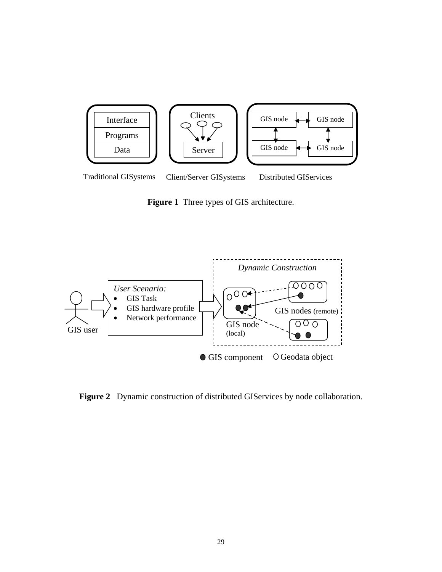

**Figure 1** Three types of GIS architecture.



**Figure 2** Dynamic construction of distributed GIServices by node collaboration.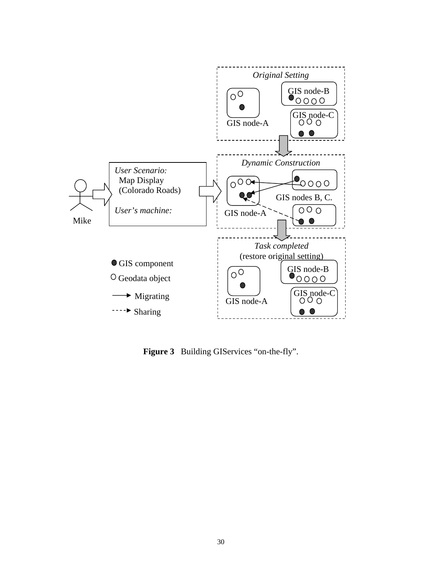

**Figure 3** Building GIServices "on-the-fly".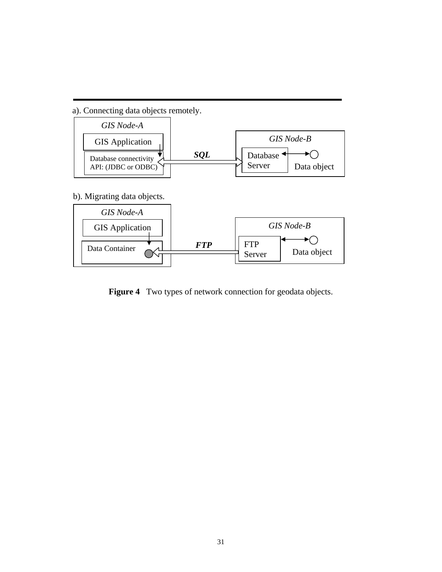a). Connecting data objects remotely.



b). Migrating data objects.



**Figure 4** Two types of network connection for geodata objects.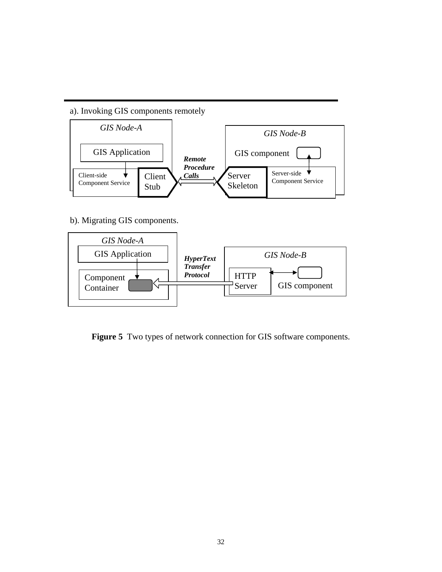a). Invoking GIS components remotely



b). Migrating GIS components.



**Figure 5** Two types of network connection for GIS software components.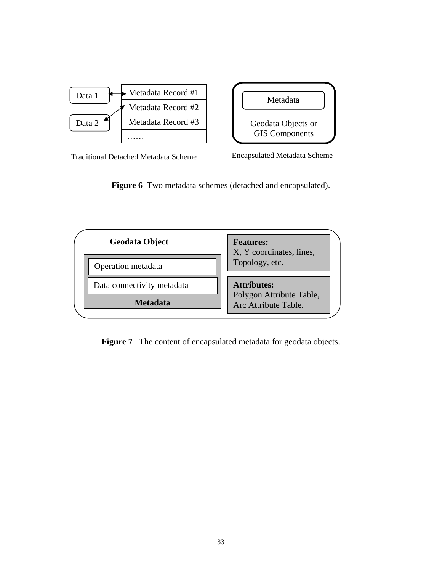



Traditional Detached Metadata Scheme Encapsulated Metadata Scheme

**Figure 6** Two metadata schemes (detached and encapsulated).



**Figure 7** The content of encapsulated metadata for geodata objects.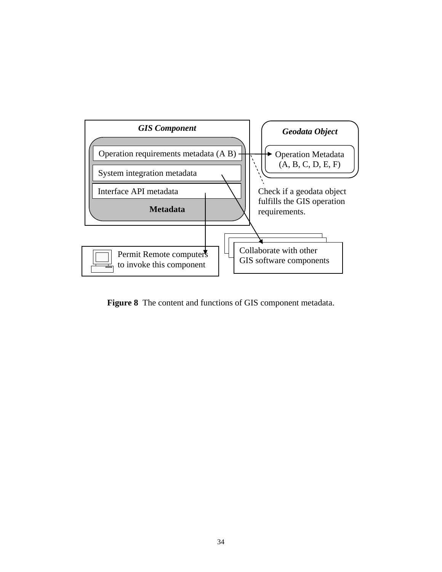

**Figure 8** The content and functions of GIS component metadata.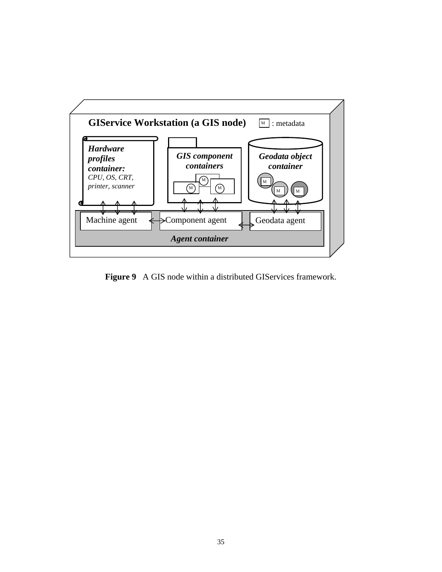

**Figure 9** A GIS node within a distributed GIServices framework.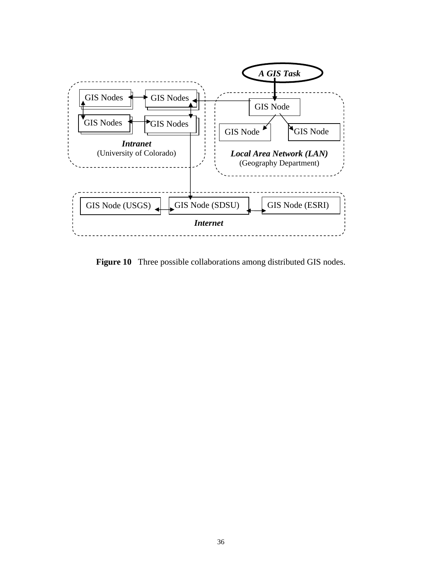

**Figure 10** Three possible collaborations among distributed GIS nodes.